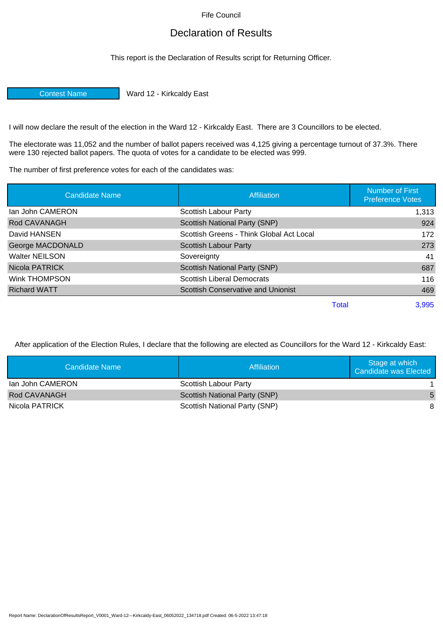Fife Council

## Declaration of Results

This report is the Declaration of Results script for Returning Officer.

Contest Name Ward 12 - Kirkcaldy East

I will now declare the result of the election in the Ward 12 - Kirkcaldy East. There are 3 Councillors to be elected.

The electorate was 11,052 and the number of ballot papers received was 4,125 giving a percentage turnout of 37.3%. There were 130 rejected ballot papers. The quota of votes for a candidate to be elected was 999.

The number of first preference votes for each of the candidates was:

| <b>Candidate Name</b> | Affiliation                               | <b>Number of First</b><br><b>Preference Votes</b> |
|-----------------------|-------------------------------------------|---------------------------------------------------|
| lan John CAMERON      | Scottish Labour Party                     | 1,313                                             |
| Rod CAVANAGH          | Scottish National Party (SNP)             | 924                                               |
| David HANSEN          | Scottish Greens - Think Global Act Local  | 172                                               |
| George MACDONALD      | Scottish Labour Party                     | 273                                               |
| <b>Walter NEILSON</b> | Sovereignty                               | 41                                                |
| Nicola PATRICK        | <b>Scottish National Party (SNP)</b>      | 687                                               |
| Wink THOMPSON         | <b>Scottish Liberal Democrats</b>         | 116                                               |
| <b>Richard WATT</b>   | <b>Scottish Conservative and Unionist</b> | 469                                               |
|                       | Total                                     | 3.995                                             |

After application of the Election Rules, I declare that the following are elected as Councillors for the Ward 12 - Kirkcaldy East:

| Candidate Name      | Affiliation                          | Stage at which<br>Candidate was Elected |
|---------------------|--------------------------------------|-----------------------------------------|
| lan John CAMERON    | Scottish Labour Party                |                                         |
| <b>Rod CAVANAGH</b> | <b>Scottish National Party (SNP)</b> | 5                                       |
| Nicola PATRICK      | Scottish National Party (SNP)        | 8                                       |